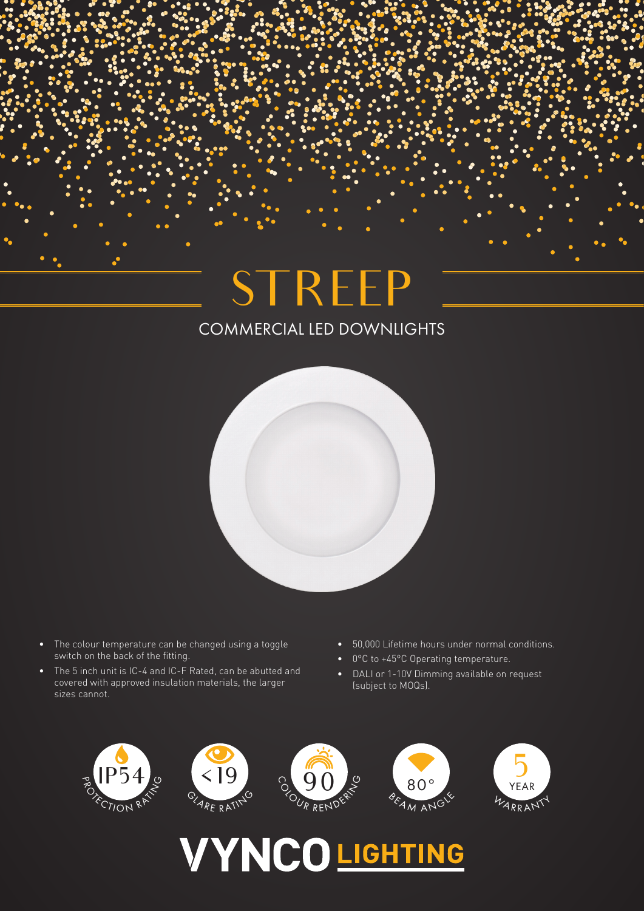## COMMERCIAL LED DOWNLIGHTS **STREEP**



- The colour temperature can be changed using a toggle switch on the back of the fitting.
- The 5 inch unit is IC-4 and IC-F Rated, can be abutted and covered with approved insulation materials, the larger sizes cannot.
- 50,000 Lifetime hours under normal conditions.
- 0°C to +45°C Operating temperature.
- DALI or 1-10V Dimming available on request (subject to MOQs).